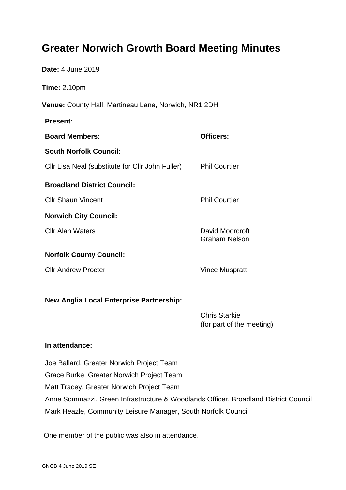# **Greater Norwich Growth Board Meeting Minutes**

| Date: 4 June 2019                                    |                                                   |
|------------------------------------------------------|---------------------------------------------------|
| Time: 2.10pm                                         |                                                   |
| Venue: County Hall, Martineau Lane, Norwich, NR1 2DH |                                                   |
| <b>Present:</b>                                      |                                                   |
| <b>Board Members:</b>                                | <b>Officers:</b>                                  |
| <b>South Norfolk Council:</b>                        |                                                   |
| Cllr Lisa Neal (substitute for Cllr John Fuller)     | <b>Phil Courtier</b>                              |
| <b>Broadland District Council:</b>                   |                                                   |
| <b>Cllr Shaun Vincent</b>                            | <b>Phil Courtier</b>                              |
| <b>Norwich City Council:</b>                         |                                                   |
| <b>CIIr Alan Waters</b>                              | David Moorcroft<br><b>Graham Nelson</b>           |
| <b>Norfolk County Council:</b>                       |                                                   |
| <b>Cllr Andrew Procter</b>                           | <b>Vince Muspratt</b>                             |
|                                                      |                                                   |
| New Anglia Local Enterprise Partnership:             |                                                   |
|                                                      | <b>Chris Starkie</b><br>(for part of the meeting) |
|                                                      |                                                   |

# **In attendance:**

Joe Ballard, Greater Norwich Project Team Grace Burke, Greater Norwich Project Team Matt Tracey, Greater Norwich Project Team Anne Sommazzi, Green Infrastructure & Woodlands Officer, Broadland District Council Mark Heazle, Community Leisure Manager, South Norfolk Council

One member of the public was also in attendance.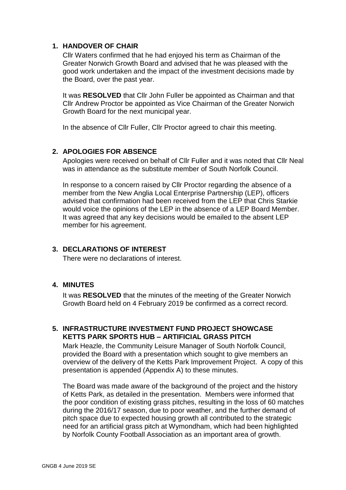# **1. HANDOVER OF CHAIR**

Cllr Waters confirmed that he had enjoyed his term as Chairman of the Greater Norwich Growth Board and advised that he was pleased with the good work undertaken and the impact of the investment decisions made by the Board, over the past year.

It was **RESOLVED** that Cllr John Fuller be appointed as Chairman and that Cllr Andrew Proctor be appointed as Vice Chairman of the Greater Norwich Growth Board for the next municipal year.

In the absence of Cllr Fuller, Cllr Proctor agreed to chair this meeting.

# **2. APOLOGIES FOR ABSENCE**

Apologies were received on behalf of Cllr Fuller and it was noted that Cllr Neal was in attendance as the substitute member of South Norfolk Council.

In response to a concern raised by Cllr Proctor regarding the absence of a member from the New Anglia Local Enterprise Partnership (LEP), officers advised that confirmation had been received from the LEP that Chris Starkie would voice the opinions of the LEP in the absence of a LEP Board Member. It was agreed that any key decisions would be emailed to the absent LEP member for his agreement.

# **3. DECLARATIONS OF INTEREST**

There were no declarations of interest.

#### **4. MINUTES**

It was **RESOLVED** that the minutes of the meeting of the Greater Norwich Growth Board held on 4 February 2019 be confirmed as a correct record.

#### **5. INFRASTRUCTURE INVESTMENT FUND PROJECT SHOWCASE KETTS PARK SPORTS HUB – ARTIFICIAL GRASS PITCH**

Mark Heazle, the Community Leisure Manager of South Norfolk Council, provided the Board with a presentation which sought to give members an overview of the delivery of the Ketts Park Improvement Project. A copy of this presentation is appended (Appendix A) to these minutes.

The Board was made aware of the background of the project and the history of Ketts Park, as detailed in the presentation. Members were informed that the poor condition of existing grass pitches, resulting in the loss of 60 matches during the 2016/17 season, due to poor weather, and the further demand of pitch space due to expected housing growth all contributed to the strategic need for an artificial grass pitch at Wymondham, which had been highlighted by Norfolk County Football Association as an important area of growth.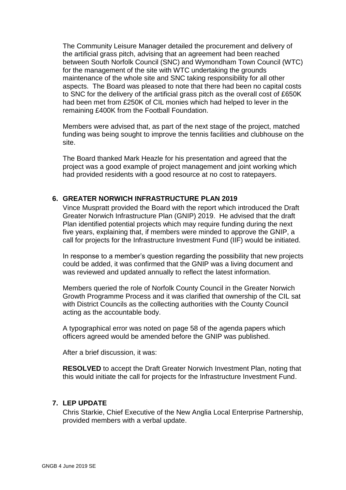The Community Leisure Manager detailed the procurement and delivery of the artificial grass pitch, advising that an agreement had been reached between South Norfolk Council (SNC) and Wymondham Town Council (WTC) for the management of the site with WTC undertaking the grounds maintenance of the whole site and SNC taking responsibility for all other aspects. The Board was pleased to note that there had been no capital costs to SNC for the delivery of the artificial grass pitch as the overall cost of £650K had been met from £250K of CIL monies which had helped to lever in the remaining £400K from the Football Foundation.

Members were advised that, as part of the next stage of the project, matched funding was being sought to improve the tennis facilities and clubhouse on the site.

The Board thanked Mark Heazle for his presentation and agreed that the project was a good example of project management and joint working which had provided residents with a good resource at no cost to ratepayers.

#### **6. GREATER NORWICH INFRASTRUCTURE PLAN 2019**

Vince Muspratt provided the Board with the report which introduced the Draft Greater Norwich Infrastructure Plan (GNIP) 2019. He advised that the draft Plan identified potential projects which may require funding during the next five years, explaining that, if members were minded to approve the GNIP, a call for projects for the Infrastructure Investment Fund (IIF) would be initiated.

In response to a member's question regarding the possibility that new projects could be added, it was confirmed that the GNIP was a living document and was reviewed and updated annually to reflect the latest information.

Members queried the role of Norfolk County Council in the Greater Norwich Growth Programme Process and it was clarified that ownership of the CIL sat with District Councils as the collecting authorities with the County Council acting as the accountable body.

A typographical error was noted on page 58 of the agenda papers which officers agreed would be amended before the GNIP was published.

After a brief discussion, it was:

**RESOLVED** to accept the Draft Greater Norwich Investment Plan, noting that this would initiate the call for projects for the Infrastructure Investment Fund.

#### **7. LEP UPDATE**

Chris Starkie, Chief Executive of the New Anglia Local Enterprise Partnership, provided members with a verbal update.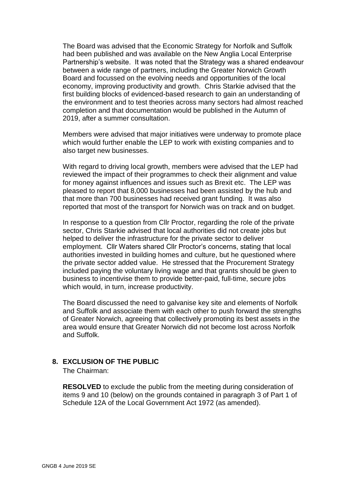The Board was advised that the Economic Strategy for Norfolk and Suffolk had been published and was available on the New Anglia Local Enterprise Partnership's website. It was noted that the Strategy was a shared endeavour between a wide range of partners, including the Greater Norwich Growth Board and focussed on the evolving needs and opportunities of the local economy, improving productivity and growth. Chris Starkie advised that the first building blocks of evidenced-based research to gain an understanding of the environment and to test theories across many sectors had almost reached completion and that documentation would be published in the Autumn of 2019, after a summer consultation.

Members were advised that major initiatives were underway to promote place which would further enable the LEP to work with existing companies and to also target new businesses.

With regard to driving local growth, members were advised that the LEP had reviewed the impact of their programmes to check their alignment and value for money against influences and issues such as Brexit etc. The LEP was pleased to report that 8,000 businesses had been assisted by the hub and that more than 700 businesses had received grant funding. It was also reported that most of the transport for Norwich was on track and on budget.

In response to a question from Cllr Proctor, regarding the role of the private sector, Chris Starkie advised that local authorities did not create jobs but helped to deliver the infrastructure for the private sector to deliver employment. Cllr Waters shared Cllr Proctor's concerns, stating that local authorities invested in building homes and culture, but he questioned where the private sector added value. He stressed that the Procurement Strategy included paying the voluntary living wage and that grants should be given to business to incentivise them to provide better-paid, full-time, secure jobs which would, in turn, increase productivity.

The Board discussed the need to galvanise key site and elements of Norfolk and Suffolk and associate them with each other to push forward the strengths of Greater Norwich, agreeing that collectively promoting its best assets in the area would ensure that Greater Norwich did not become lost across Norfolk and Suffolk.

# **8. EXCLUSION OF THE PUBLIC**

The Chairman:

**RESOLVED** to exclude the public from the meeting during consideration of items 9 and 10 (below) on the grounds contained in paragraph 3 of Part 1 of Schedule 12A of the Local Government Act 1972 (as amended).